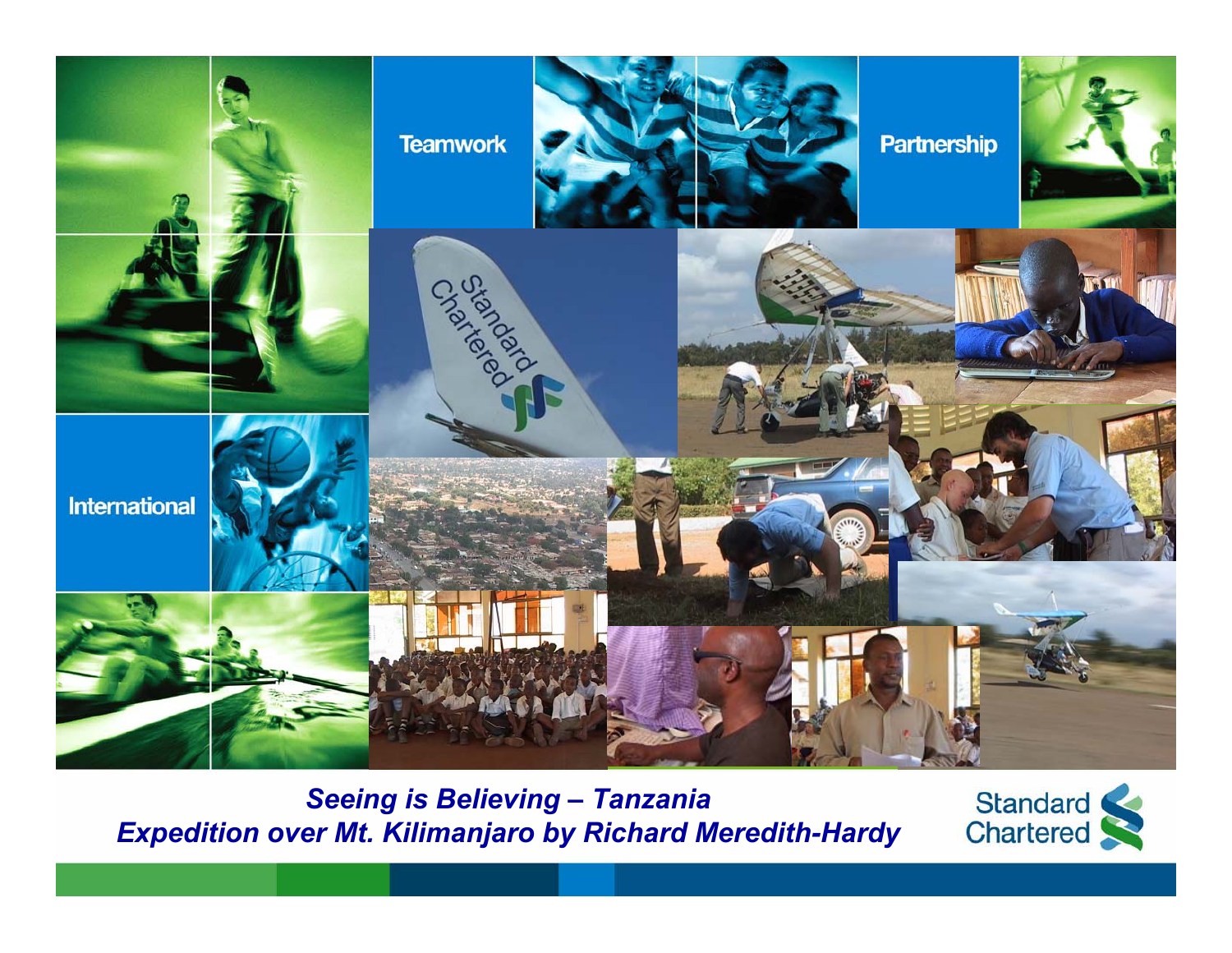

*Seeing is Believing – Tanzania Expedition over Mt. Kilimanjaro by Richard Meredith-Hardy*

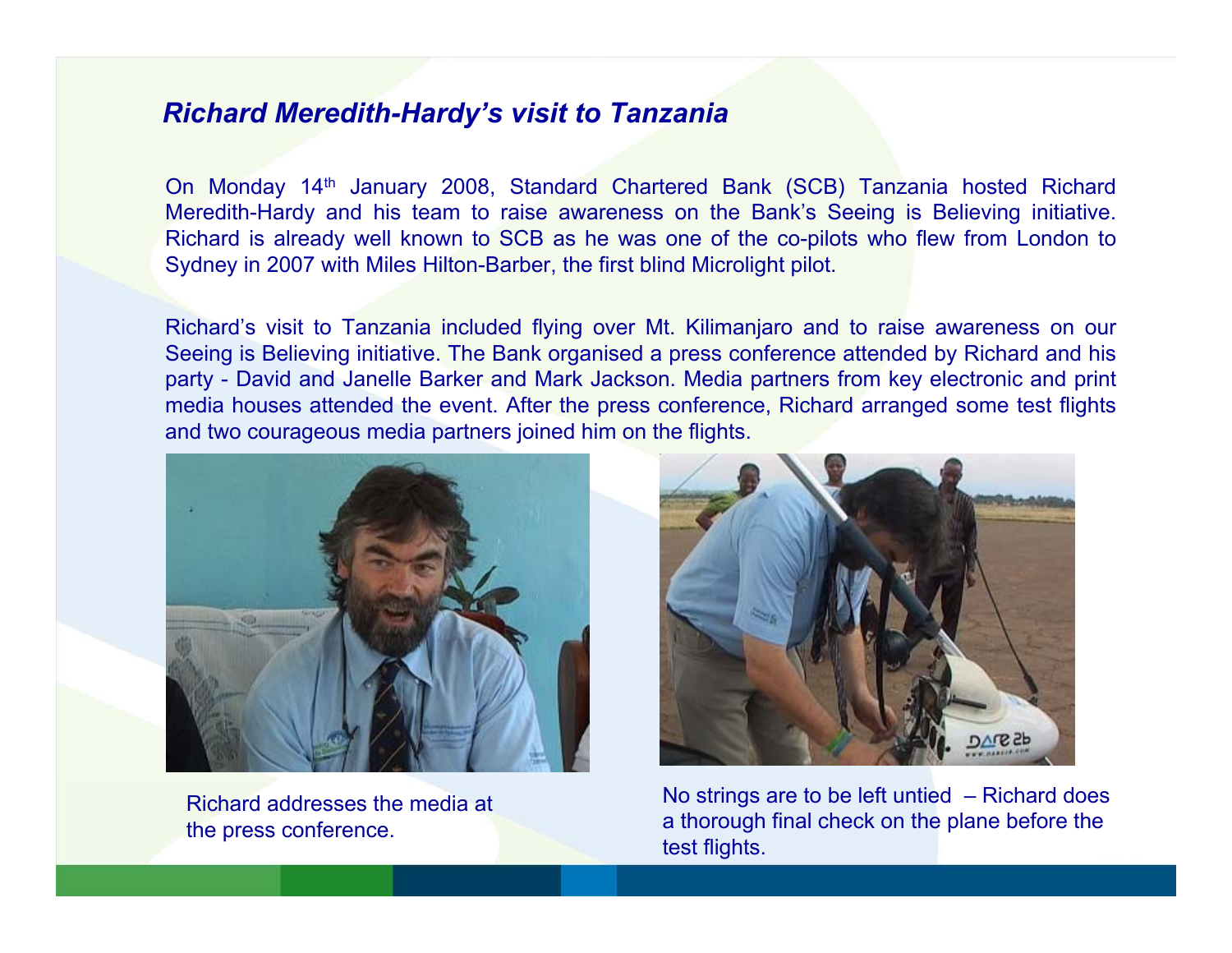## *Richard Meredith-Hardy's visit to Tanzania*

On Monday 14th January 2008, Standard Chartered Bank (SCB) Tanzania hosted Richard Meredith-Hardy and his team to raise awareness on the Bank's Seeing is Believing initiative. Richard is already well known to SCB as he was one of the co-pilots who flew from London to Sydney in 2007 with Miles Hilton-Barber, the first blind Microlight pilot.

Richard's visit to Tanzania included flying over Mt. Kilimanjaro and to raise awareness on our Seeing is Believing initiative. The Bank organised a press conference attended by Richard and his party - David and Janelle Barker and Mark Jackson. Media partners from key electronic and print media houses attended the event. After the press conference, Richard arranged some test flights and two courageous media partners joined him on the flights.



Richard addresses the media at the press conference.



No strings are to be left untied – Richard does a thorough final check on the plane before the test flights.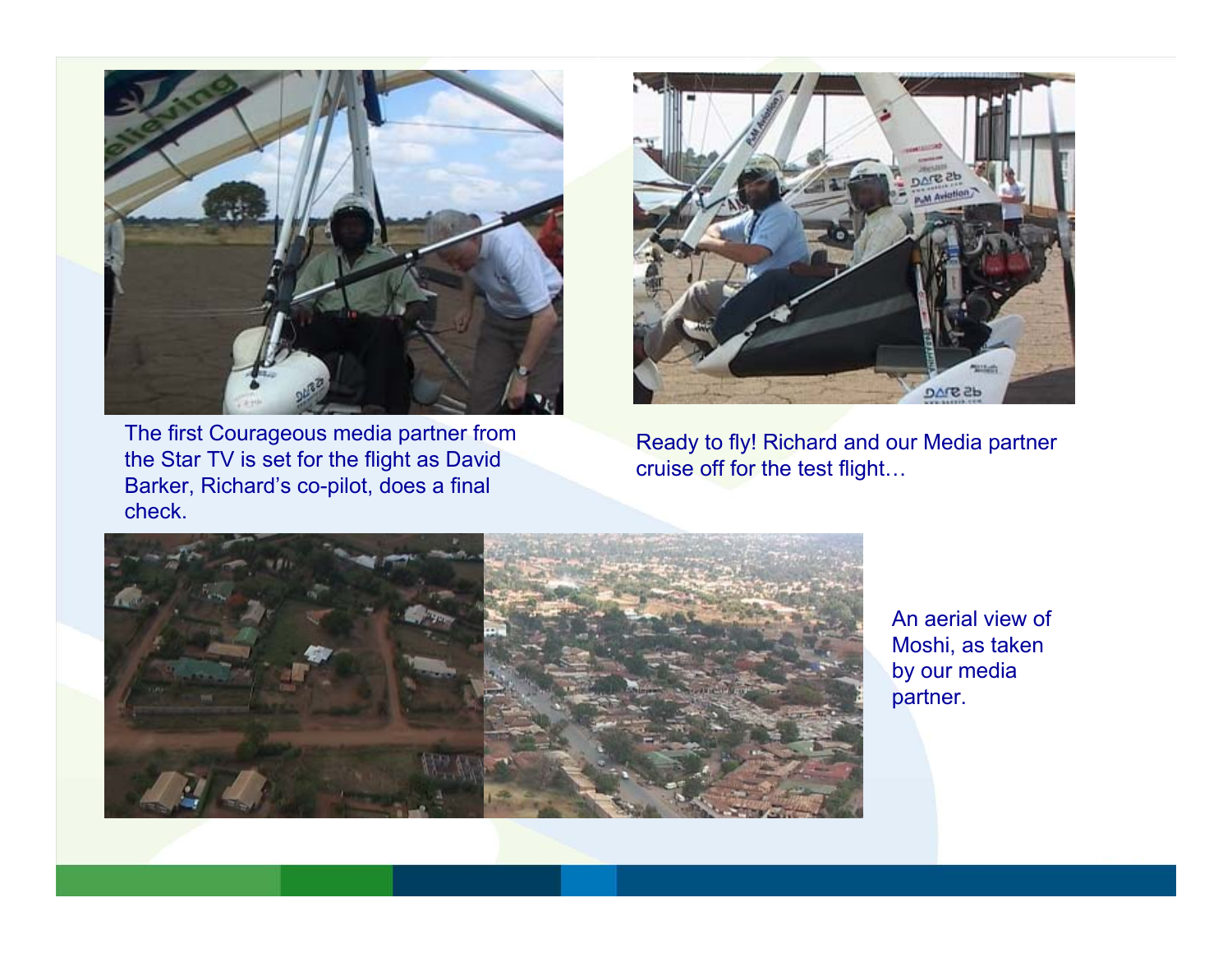

The first Courageous media partner from the Star TV is set for the flight as David Barker, Richard's co-pilot, does a final check.



Ready to fly! Richard and our Media partner cruise off for the test flight…



An aerial view of Moshi, as taken by our media partner.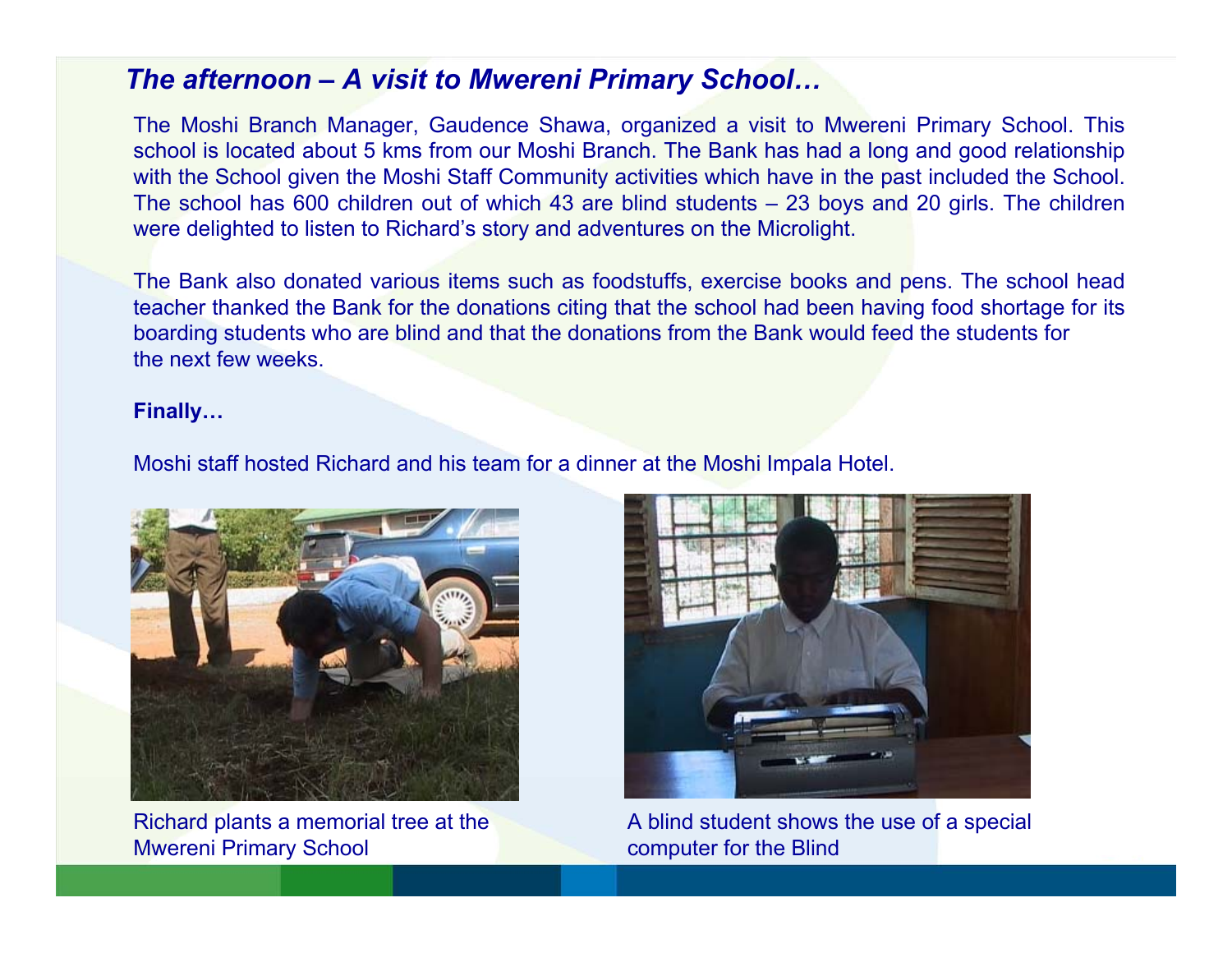## *The afternoon – A visit to Mwereni Primary School…*

The Moshi Branch Manager, Gaudence Shawa, organized a visit to Mwereni Primary School. This school is located about 5 kms from our Moshi Branch. The Bank has had a long and good relationship with the School given the Moshi Staff Community activities which have in the past included the School. The school has 600 children out of which 43 are blind students – 23 boys and 20 girls. The children were delighted to listen to Richard's story and adventures on the Microlight.

The Bank also donated various items such as foodstuffs, exercise books and pens. The school head teacher thanked the Bank for the donations citing that the school had been having food shortage for its boarding students who are blind and that the donations from the Bank would feed the students for the next few weeks.

## **Finally…**

Moshi staff hosted Richard and his team for a dinner at the Moshi Impala Hotel.



Richard plants a memorial tree at the Mwereni Primary School



A blind student shows the use of a special computer for the Blind